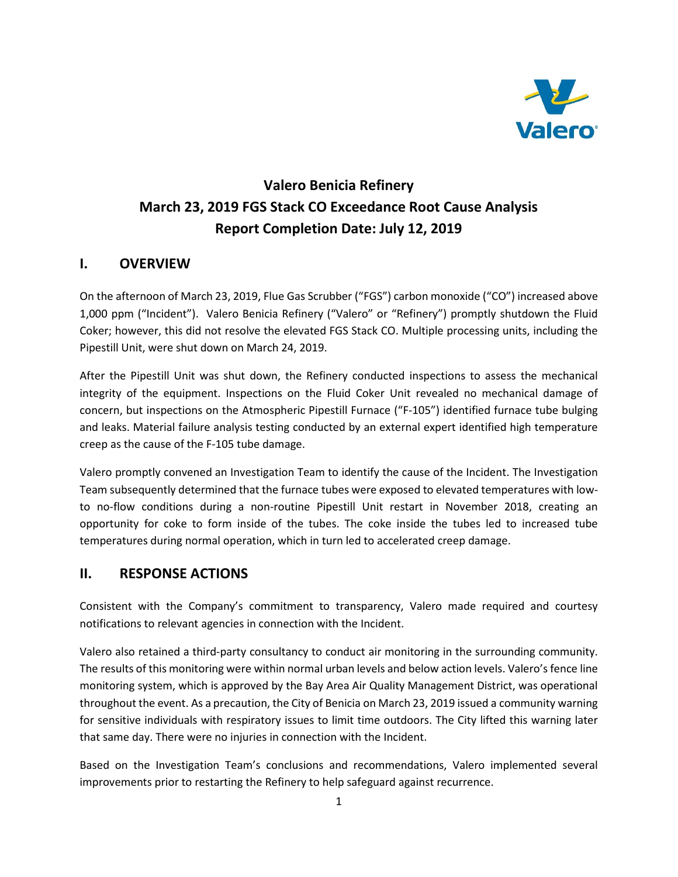

# **Valero Benicia Refinery March 23, 2019 FGS Stack CO Exceedance Root Cause Analysis Report Completion Date: July 12, 2019**

# **I. OVERVIEW**

On the afternoon of March 23, 2019, Flue Gas Scrubber ("FGS") carbon monoxide ("CO") increased above 1,000 ppm ("Incident"). Valero Benicia Refinery ("Valero" or "Refinery") promptly shutdown the Fluid Coker; however, this did not resolve the elevated FGS Stack CO. Multiple processing units, including the Pipestill Unit, were shut down on March 24, 2019.

After the Pipestill Unit was shut down, the Refinery conducted inspections to assess the mechanical integrity of the equipment. Inspections on the Fluid Coker Unit revealed no mechanical damage of concern, but inspections on the Atmospheric Pipestill Furnace ("F-105") identified furnace tube bulging and leaks. Material failure analysis testing conducted by an external expert identified high temperature creep as the cause of the F-105 tube damage.

Valero promptly convened an Investigation Team to identify the cause of the Incident. The Investigation Team subsequently determined that the furnace tubes were exposed to elevated temperatures with lowto no-flow conditions during a non-routine Pipestill Unit restart in November 2018, creating an opportunity for coke to form inside of the tubes. The coke inside the tubes led to increased tube temperatures during normal operation, which in turn led to accelerated creep damage.

#### **II. RESPONSE ACTIONS**

Consistent with the Company's commitment to transparency, Valero made required and courtesy notifications to relevant agencies in connection with the Incident.

Valero also retained a third-party consultancy to conduct air monitoring in the surrounding community. The results of this monitoring were within normal urban levels and below action levels. Valero's fence line monitoring system, which is approved by the Bay Area Air Quality Management District, was operational throughout the event. As a precaution, the City of Benicia on March 23, 2019 issued a community warning for sensitive individuals with respiratory issues to limit time outdoors. The City lifted this warning later that same day. There were no injuries in connection with the Incident.

Based on the Investigation Team's conclusions and recommendations, Valero implemented several improvements prior to restarting the Refinery to help safeguard against recurrence.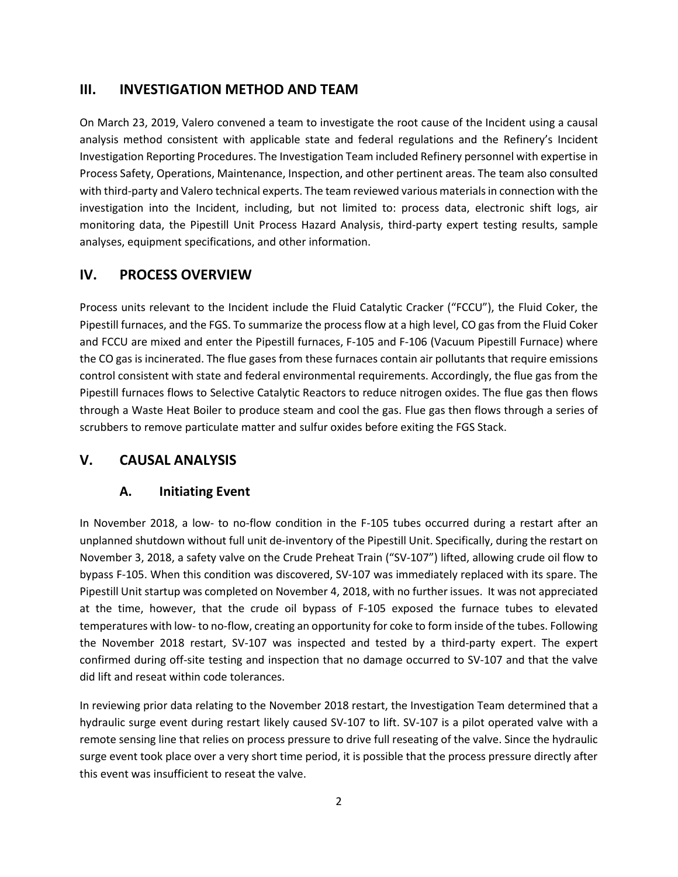#### **III. INVESTIGATION METHOD AND TEAM**

On March 23, 2019, Valero convened a team to investigate the root cause of the Incident using a causal analysis method consistent with applicable state and federal regulations and the Refinery's Incident Investigation Reporting Procedures. The Investigation Team included Refinery personnel with expertise in Process Safety, Operations, Maintenance, Inspection, and other pertinent areas. The team also consulted with third-party and Valero technical experts. The team reviewed various materials in connection with the investigation into the Incident, including, but not limited to: process data, electronic shift logs, air monitoring data, the Pipestill Unit Process Hazard Analysis, third-party expert testing results, sample analyses, equipment specifications, and other information.

### **IV. PROCESS OVERVIEW**

Process units relevant to the Incident include the Fluid Catalytic Cracker ("FCCU"), the Fluid Coker, the Pipestill furnaces, and the FGS. To summarize the process flow at a high level, CO gas from the Fluid Coker and FCCU are mixed and enter the Pipestill furnaces, F-105 and F-106 (Vacuum Pipestill Furnace) where the CO gas is incinerated. The flue gases from these furnaces contain air pollutants that require emissions control consistent with state and federal environmental requirements. Accordingly, the flue gas from the Pipestill furnaces flows to Selective Catalytic Reactors to reduce nitrogen oxides. The flue gas then flows through a Waste Heat Boiler to produce steam and cool the gas. Flue gas then flows through a series of scrubbers to remove particulate matter and sulfur oxides before exiting the FGS Stack.

#### **V. CAUSAL ANALYSIS**

#### **A. Initiating Event**

In November 2018, a low- to no-flow condition in the F-105 tubes occurred during a restart after an unplanned shutdown without full unit de-inventory of the Pipestill Unit. Specifically, during the restart on November 3, 2018, a safety valve on the Crude Preheat Train ("SV-107") lifted, allowing crude oil flow to bypass F-105. When this condition was discovered, SV-107 was immediately replaced with its spare. The Pipestill Unit startup was completed on November 4, 2018, with no further issues. It was not appreciated at the time, however, that the crude oil bypass of F-105 exposed the furnace tubes to elevated temperatures with low- to no-flow, creating an opportunity for coke to form inside of the tubes. Following the November 2018 restart, SV-107 was inspected and tested by a third-party expert. The expert confirmed during off-site testing and inspection that no damage occurred to SV-107 and that the valve did lift and reseat within code tolerances.

In reviewing prior data relating to the November 2018 restart, the Investigation Team determined that a hydraulic surge event during restart likely caused SV-107 to lift. SV-107 is a pilot operated valve with a remote sensing line that relies on process pressure to drive full reseating of the valve. Since the hydraulic surge event took place over a very short time period, it is possible that the process pressure directly after this event was insufficient to reseat the valve.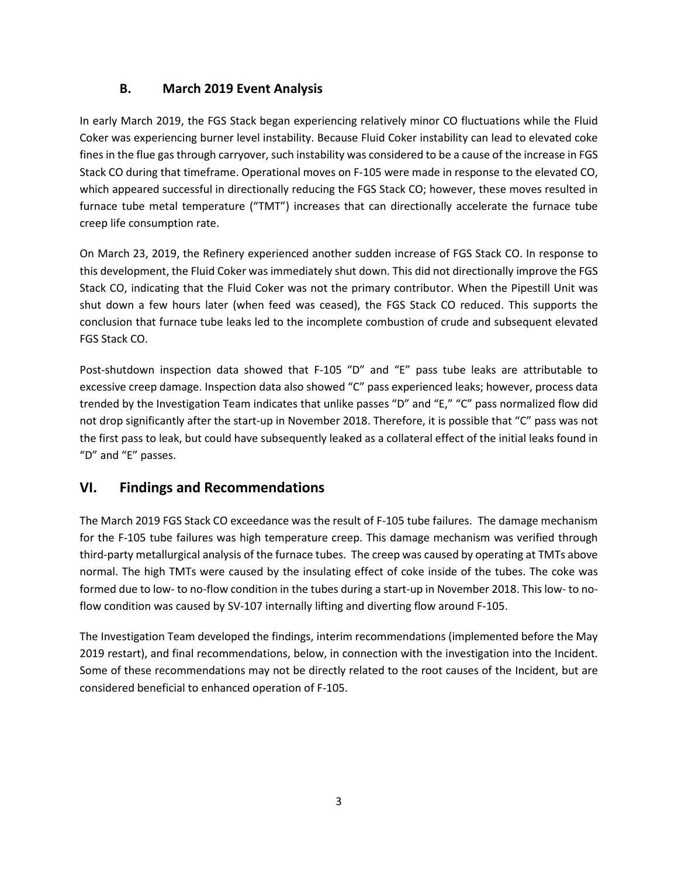# **B. March 2019 Event Analysis**

In early March 2019, the FGS Stack began experiencing relatively minor CO fluctuations while the Fluid Coker was experiencing burner level instability. Because Fluid Coker instability can lead to elevated coke fines in the flue gas through carryover, such instability was considered to be a cause of the increase in FGS Stack CO during that timeframe. Operational moves on F-105 were made in response to the elevated CO, which appeared successful in directionally reducing the FGS Stack CO; however, these moves resulted in furnace tube metal temperature ("TMT") increases that can directionally accelerate the furnace tube creep life consumption rate.

On March 23, 2019, the Refinery experienced another sudden increase of FGS Stack CO. In response to this development, the Fluid Coker was immediately shut down. This did not directionally improve the FGS Stack CO, indicating that the Fluid Coker was not the primary contributor. When the Pipestill Unit was shut down a few hours later (when feed was ceased), the FGS Stack CO reduced. This supports the conclusion that furnace tube leaks led to the incomplete combustion of crude and subsequent elevated FGS Stack CO.

Post-shutdown inspection data showed that F-105 "D" and "E" pass tube leaks are attributable to excessive creep damage. Inspection data also showed "C" pass experienced leaks; however, process data trended by the Investigation Team indicates that unlike passes "D" and "E," "C" pass normalized flow did not drop significantly after the start-up in November 2018. Therefore, it is possible that "C" pass was not the first pass to leak, but could have subsequently leaked as a collateral effect of the initial leaks found in "D" and "E" passes.

# **VI. Findings and Recommendations**

The March 2019 FGS Stack CO exceedance was the result of F-105 tube failures. The damage mechanism for the F-105 tube failures was high temperature creep. This damage mechanism was verified through third-party metallurgical analysis of the furnace tubes. The creep was caused by operating at TMTs above normal. The high TMTs were caused by the insulating effect of coke inside of the tubes. The coke was formed due to low- to no-flow condition in the tubes during a start-up in November 2018. This low- to noflow condition was caused by SV-107 internally lifting and diverting flow around F-105.

The Investigation Team developed the findings, interim recommendations (implemented before the May 2019 restart), and final recommendations, below, in connection with the investigation into the Incident. Some of these recommendations may not be directly related to the root causes of the Incident, but are considered beneficial to enhanced operation of F-105.